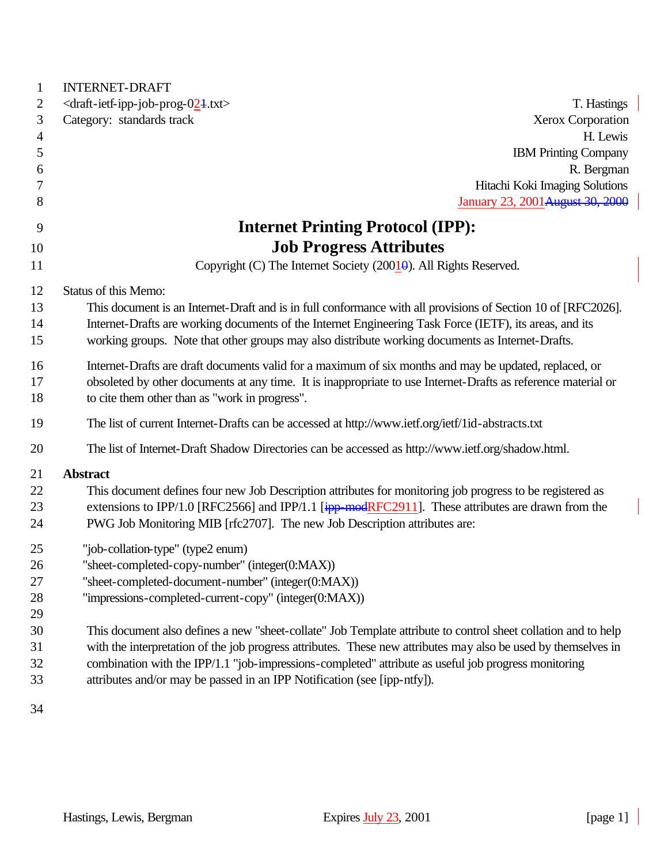| 1              | <b>INTERNET-DRAFT</b>                                                                                           |
|----------------|-----------------------------------------------------------------------------------------------------------------|
| 2              | <draft-ietf-ipp-job-prog-024.txt><br/>T. Hastings</draft-ietf-ipp-job-prog-024.txt>                             |
| 3              | Category: standards track<br>Xerox Corporation                                                                  |
| $\overline{4}$ | H. Lewis                                                                                                        |
| 5              | <b>IBM Printing Company</b>                                                                                     |
| 6              | R. Bergman                                                                                                      |
| 7              | Hitachi Koki Imaging Solutions                                                                                  |
| 8              | January 23, 2001 August 30, 2000                                                                                |
| 9              | <b>Internet Printing Protocol (IPP):</b>                                                                        |
| 10             | <b>Job Progress Attributes</b>                                                                                  |
| 11             | Copyright (C) The Internet Society (200 $1\overline{0}$ ). All Rights Reserved.                                 |
| 12             | Status of this Memo:                                                                                            |
| 13             | This document is an Internet-Draft and is in full conformance with all provisions of Section 10 of [RFC2026].   |
| 14             | Internet-Drafts are working documents of the Internet Engineering Task Force (IETF), its areas, and its         |
| 15             | working groups. Note that other groups may also distribute working documents as Internet-Drafts.                |
|                |                                                                                                                 |
| 16             | Internet-Drafts are draft documents valid for a maximum of six months and may be updated, replaced, or          |
| 17             | obsoleted by other documents at any time. It is inappropriate to use Internet-Drafts as reference material or   |
| 18             | to cite them other than as "work in progress".                                                                  |
| 19             | The list of current Internet-Drafts can be accessed at http://www.ietf.org/ietf/1id-abstracts.txt               |
| 20             | The list of Internet-Draft Shadow Directories can be accessed as http://www.ietf.org/shadow.html.               |
| 21             | <b>Abstract</b>                                                                                                 |
| 22             | This document defines four new Job Description attributes for monitoring job progress to be registered as       |
| 23             | extensions to IPP/1.0 [RFC2566] and IPP/1.1 $\frac{1}{2}$ [ipp-modRFC2911]. These attributes are drawn from the |
| 24             | PWG Job Monitoring MIB [rfc2707]. The new Job Description attributes are:                                       |
| 25             | "job-collation-type" (type2 enum)                                                                               |
| 26             | "sheet-completed-copy-number" (integer(0:MAX))                                                                  |
| 27             | "sheet-completed-document-number" (integer(0:MAX))                                                              |
| 28             | "impressions-completed-current-copy" (integer(0:MAX))                                                           |
| 29             |                                                                                                                 |
| 30             | This document also defines a new "sheet-collate" Job Template attribute to control sheet collation and to help  |
| 31             | with the interpretation of the job progress attributes. These new attributes may also be used by themselves in  |
| 32             | combination with the IPP/1.1 "job-impressions-completed" attribute as useful job progress monitoring            |
| 33             | attributes and/or may be passed in an IPP Notification (see [ipp-ntfy]).                                        |
|                |                                                                                                                 |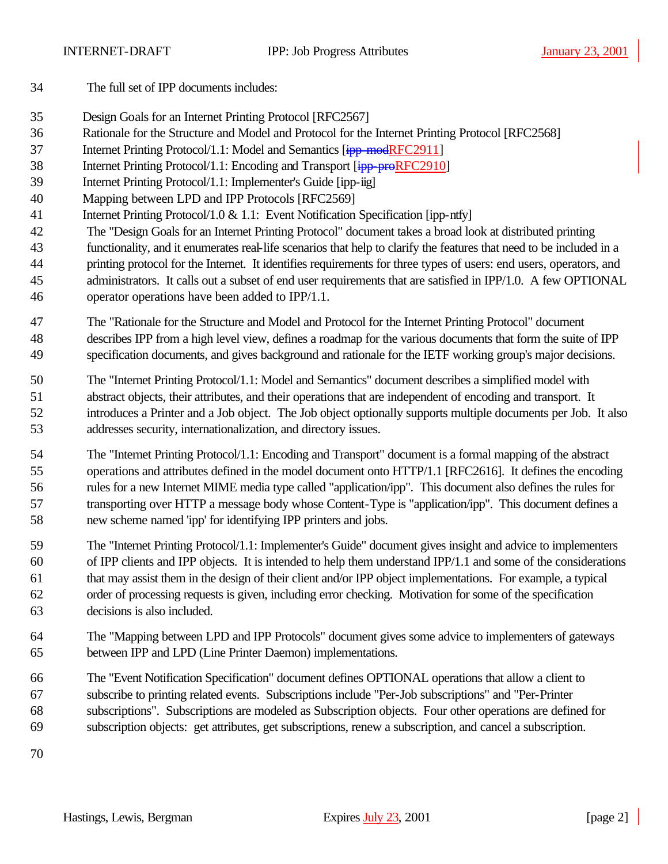- The full set of IPP documents includes:
- Design Goals for an Internet Printing Protocol [RFC2567]
- Rationale for the Structure and Model and Protocol for the Internet Printing Protocol [RFC2568]
- 37 Internet Printing Protocol/1.1: Model and Semantics [ipp-modRFC2911]
- 38 Internet Printing Protocol/1.1: Encoding and Transport [ipp-proRFC2910]
- Internet Printing Protocol/1.1: Implementer's Guide [ipp-iig]
- Mapping between LPD and IPP Protocols [RFC2569]
- 41 Internet Printing Protocol/1.0 & 1.1: Event Notification Specification [ipp-ntfy]
- The "Design Goals for an Internet Printing Protocol" document takes a broad look at distributed printing functionality, and it enumerates real-life scenarios that help to clarify the features that need to be included in a printing protocol for the Internet. It identifies requirements for three types of users: end users, operators, and administrators. It calls out a subset of end user requirements that are satisfied in IPP/1.0. A few OPTIONAL operator operations have been added to IPP/1.1.
- The "Rationale for the Structure and Model and Protocol for the Internet Printing Protocol" document
- describes IPP from a high level view, defines a roadmap for the various documents that form the suite of IPP specification documents, and gives background and rationale for the IETF working group's major decisions.
- The "Internet Printing Protocol/1.1: Model and Semantics" document describes a simplified model with abstract objects, their attributes, and their operations that are independent of encoding and transport. It introduces a Printer and a Job object. The Job object optionally supports multiple documents per Job. It also addresses security, internationalization, and directory issues.
- The "Internet Printing Protocol/1.1: Encoding and Transport" document is a formal mapping of the abstract operations and attributes defined in the model document onto HTTP/1.1 [RFC2616]. It defines the encoding rules for a new Internet MIME media type called "application/ipp". This document also defines the rules for transporting over HTTP a message body whose Content-Type is "application/ipp". This document defines a new scheme named 'ipp' for identifying IPP printers and jobs.
- The "Internet Printing Protocol/1.1: Implementer's Guide" document gives insight and advice to implementers of IPP clients and IPP objects. It is intended to help them understand IPP/1.1 and some of the considerations that may assist them in the design of their client and/or IPP object implementations. For example, a typical order of processing requests is given, including error checking. Motivation for some of the specification decisions is also included.
- The "Mapping between LPD and IPP Protocols" document gives some advice to implementers of gateways between IPP and LPD (Line Printer Daemon) implementations.
- The "Event Notification Specification" document defines OPTIONAL operations that allow a client to subscribe to printing related events. Subscriptions include "Per-Job subscriptions" and "Per-Printer subscriptions". Subscriptions are modeled as Subscription objects. Four other operations are defined for subscription objects: get attributes, get subscriptions, renew a subscription, and cancel a subscription.
-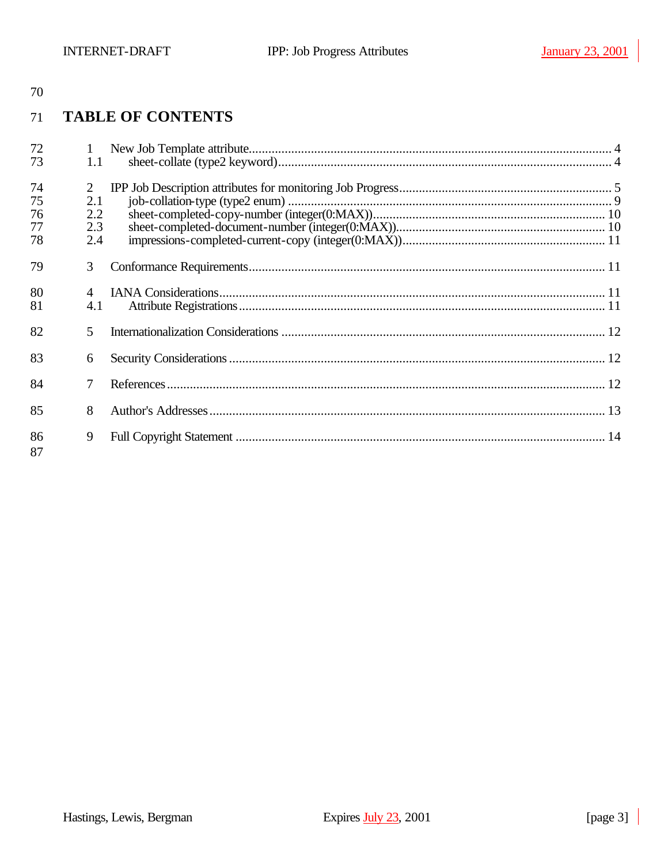#### **TABLE OF CONTENTS** 71

| 72       | $\mathbf{1}$ |  |
|----------|--------------|--|
| 73       | 1.1          |  |
| 74       | 2            |  |
| 75       | 2.1          |  |
| 76       | 2.2          |  |
| 77       | 2.3          |  |
| 78       | 2.4          |  |
| 79       | 3            |  |
| 80       |              |  |
| 81       | 4.1          |  |
| 82       | 5            |  |
| 83       | 6            |  |
| 84       |              |  |
| 85       | 8            |  |
| 86<br>87 | 9            |  |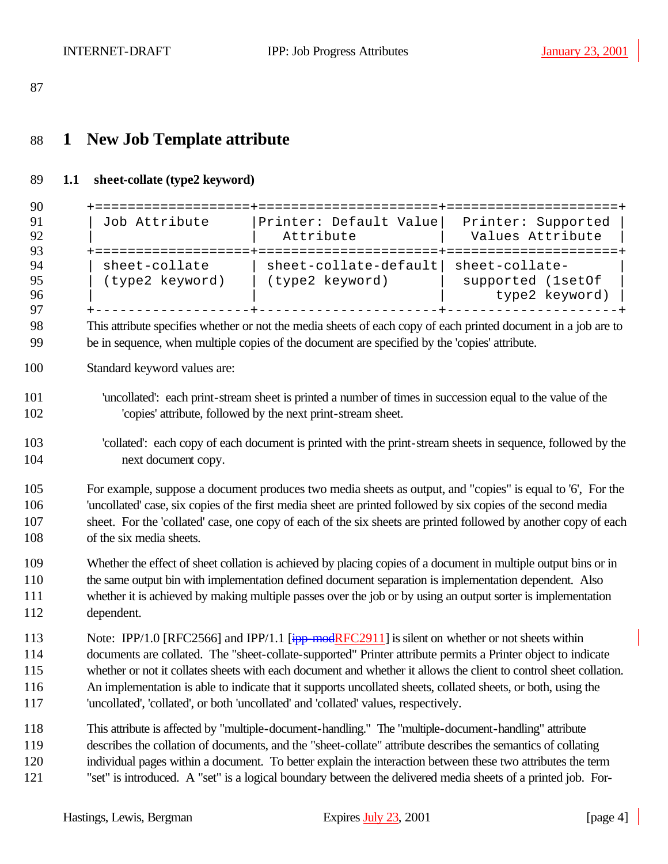# **1 New Job Template attribute**

### **1.1 sheet-collate (type2 keyword)**

| 90                              | + = = = = = = = = = = = = = = = = = =                                                                                                                                                                                                                                                                                                                                      |                                                                                                                                                                                                                                                                                                                                                                                                                                                                                                                                                           |                                        |  |
|---------------------------------|----------------------------------------------------------------------------------------------------------------------------------------------------------------------------------------------------------------------------------------------------------------------------------------------------------------------------------------------------------------------------|-----------------------------------------------------------------------------------------------------------------------------------------------------------------------------------------------------------------------------------------------------------------------------------------------------------------------------------------------------------------------------------------------------------------------------------------------------------------------------------------------------------------------------------------------------------|----------------------------------------|--|
| 91<br>92                        | Job Attribute                                                                                                                                                                                                                                                                                                                                                              | Printer: Default Value<br>Attribute                                                                                                                                                                                                                                                                                                                                                                                                                                                                                                                       | Printer: Supported<br>Values Attribute |  |
| 93                              |                                                                                                                                                                                                                                                                                                                                                                            |                                                                                                                                                                                                                                                                                                                                                                                                                                                                                                                                                           |                                        |  |
| 94<br>95<br>96<br>97            |                                                                                                                                                                                                                                                                                                                                                                            | sheet-collate   sheet-collate-default  sheet-collate-<br>(type2 keyword)   (type2 keyword)<br><b>Contract Contract Contract</b>                                                                                                                                                                                                                                                                                                                                                                                                                           | supported (1set0f<br>type2 keyword)    |  |
| 98<br>99                        |                                                                                                                                                                                                                                                                                                                                                                            | This attribute specifies whether or not the media sheets of each copy of each printed document in a job are to<br>be in sequence, when multiple copies of the document are specified by the 'copies' attribute.                                                                                                                                                                                                                                                                                                                                           |                                        |  |
| 100                             | Standard keyword values are:                                                                                                                                                                                                                                                                                                                                               |                                                                                                                                                                                                                                                                                                                                                                                                                                                                                                                                                           |                                        |  |
| 101<br>102                      |                                                                                                                                                                                                                                                                                                                                                                            | 'uncollated': each print-stream sheet is printed a number of times in succession equal to the value of the<br>'copies' attribute, followed by the next print-stream sheet.                                                                                                                                                                                                                                                                                                                                                                                |                                        |  |
| 103<br>104                      | next document copy.                                                                                                                                                                                                                                                                                                                                                        | 'collated': each copy of each document is printed with the print-stream sheets in sequence, followed by the                                                                                                                                                                                                                                                                                                                                                                                                                                               |                                        |  |
| 105<br>106<br>107<br>108        | For example, suppose a document produces two media sheets as output, and "copies" is equal to '6', For the<br>'uncollated' case, six copies of the first media sheet are printed followed by six copies of the second media<br>sheet. For the 'collated' case, one copy of each of the six sheets are printed followed by another copy of each<br>of the six media sheets. |                                                                                                                                                                                                                                                                                                                                                                                                                                                                                                                                                           |                                        |  |
| 109<br>110<br>111<br>112        | Whether the effect of sheet collation is achieved by placing copies of a document in multiple output bins or in<br>the same output bin with implementation defined document separation is implementation dependent. Also<br>whether it is achieved by making multiple passes over the job or by using an output sorter is implementation<br>dependent.                     |                                                                                                                                                                                                                                                                                                                                                                                                                                                                                                                                                           |                                        |  |
| 113<br>114<br>115<br>116<br>117 |                                                                                                                                                                                                                                                                                                                                                                            | Note: IPP/1.0 [RFC2566] and IPP/1.1 $\frac{1}{2}$ [ipp-modRFC2911] is silent on whether or not sheets within<br>documents are collated. The "sheet-collate-supported" Printer attribute permits a Printer object to indicate<br>whether or not it collates sheets with each document and whether it allows the client to control sheet collation.<br>An implementation is able to indicate that it supports uncollated sheets, collated sheets, or both, using the<br>'uncollated', 'collated', or both 'uncollated' and 'collated' values, respectively. |                                        |  |
| 118<br>119<br>120<br>121        |                                                                                                                                                                                                                                                                                                                                                                            | This attribute is affected by "multiple-document-handling." The "multiple-document-handling" attribute<br>describes the collation of documents, and the "sheet-collate" attribute describes the semantics of collating<br>individual pages within a document. To better explain the interaction between these two attributes the term<br>"set" is introduced. A "set" is a logical boundary between the delivered media sheets of a printed job. For-                                                                                                     |                                        |  |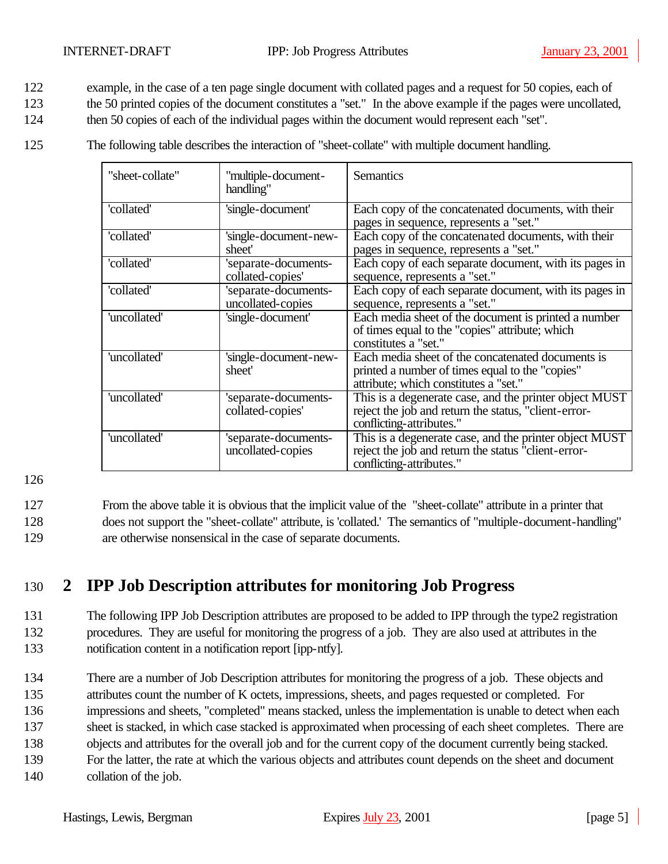- 122 example, in the case of a ten page single document with collated pages and a request for 50 copies, each of
- 123 the 50 printed copies of the document constitutes a "set." In the above example if the pages were uncollated,
- 124 then 50 copies of each of the individual pages within the document would represent each "set".
- 125 The following table describes the interaction of "sheet-collate" with multiple document handling.

| "sheet-collate" | 'multiple-document-<br>handling"          | <b>Semantics</b>                                                                                                                              |
|-----------------|-------------------------------------------|-----------------------------------------------------------------------------------------------------------------------------------------------|
| 'collated'      | 'single-document'                         | Each copy of the concatenated documents, with their<br>pages in sequence, represents a "set."                                                 |
| 'collated'      | 'single-document-new-<br>sheet'           | Each copy of the concatenated documents, with their<br>pages in sequence, represents a "set."                                                 |
| 'collated'      | 'separate-documents-<br>collated-copies'  | Each copy of each separate document, with its pages in<br>sequence, represents a "set."                                                       |
| 'collated'      | 'separate-documents-<br>uncollated-copies | Each copy of each separate document, with its pages in<br>sequence, represents a "set."                                                       |
| 'uncollated'    | 'single-document'                         | Each media sheet of the document is printed a number<br>of times equal to the "copies" attribute; which<br>constitutes a "set."               |
| 'uncollated'    | 'single-document-new-<br>sheet'           | Each media sheet of the concatenated documents is<br>printed a number of times equal to the "copies"<br>attribute; which constitutes a "set." |
| 'uncollated'    | 'separate-documents-<br>collated-copies'  | This is a degenerate case, and the printer object MUST<br>reject the job and return the status, "client-error-<br>conflicting-attributes."    |
| 'uncollated'    | 'separate-documents-<br>uncollated-copies | This is a degenerate case, and the printer object MUST<br>reject the job and return the status "client-error-<br>conflicting-attributes."     |

127 From the above table it is obvious that the implicit value of the "sheet-collate" attribute in a printer that 128 does not support the "sheet-collate" attribute, is 'collated.' The semantics of "multiple-document-handling" 129 are otherwise nonsensical in the case of separate documents.

### 130 **2 IPP Job Description attributes for monitoring Job Progress**

### 131 The following IPP Job Description attributes are proposed to be added to IPP through the type2 registration 132 procedures. They are useful for monitoring the progress of a job. They are also used at attributes in the 133 notification content in a notification report [ipp-ntfy].

- 134 There are a number of Job Description attributes for monitoring the progress of a job. These objects and 135 attributes count the number of K octets, impressions, sheets, and pages requested or completed. For
- 136 impressions and sheets, "completed" means stacked, unless the implementation is unable to detect when each
- 137 sheet is stacked, in which case stacked is approximated when processing of each sheet completes. There are
- 138 objects and attributes for the overall job and for the current copy of the document currently being stacked.
- 139 For the latter, the rate at which the various objects and attributes count depends on the sheet and document
- 140 collation of the job.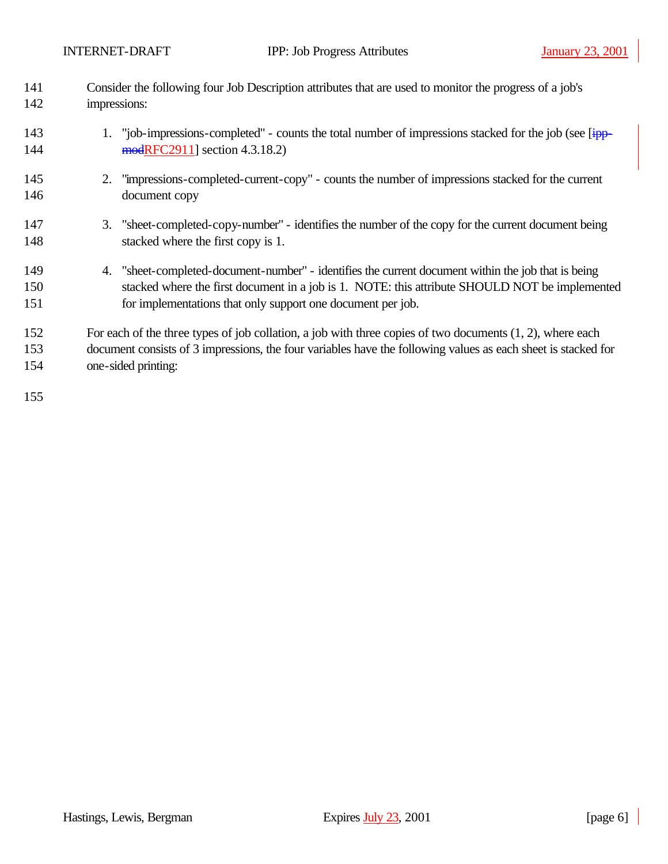| 141 | Consider the following four Job Description attributes that are used to monitor the progress of a job's       |  |
|-----|---------------------------------------------------------------------------------------------------------------|--|
| 142 | impressions:                                                                                                  |  |
| 143 | 1. "job-impressions-completed" - counts the total number of impressions stacked for the job (see [ipp-        |  |
| 144 | modRFC2911] section 4.3.18.2)                                                                                 |  |
| 145 | "impressions-completed-current-copy" - counts the number of impressions stacked for the current<br>2.         |  |
| 146 | document copy                                                                                                 |  |
| 147 | 3. "sheet-completed-copy-number" - identifies the number of the copy for the current document being           |  |
| 148 | stacked where the first copy is 1.                                                                            |  |
| 149 | 4. "sheet-completed-document-number" - identifies the current document within the job that is being           |  |
| 150 | stacked where the first document in a job is 1. NOTE: this attribute SHOULD NOT be implemented                |  |
| 151 | for implementations that only support one document per job.                                                   |  |
| 152 | For each of the three types of job collation, a job with three copies of two documents $(1, 2)$ , where each  |  |
| 153 | document consists of 3 impressions, the four variables have the following values as each sheet is stacked for |  |
| 154 | one-sided printing:                                                                                           |  |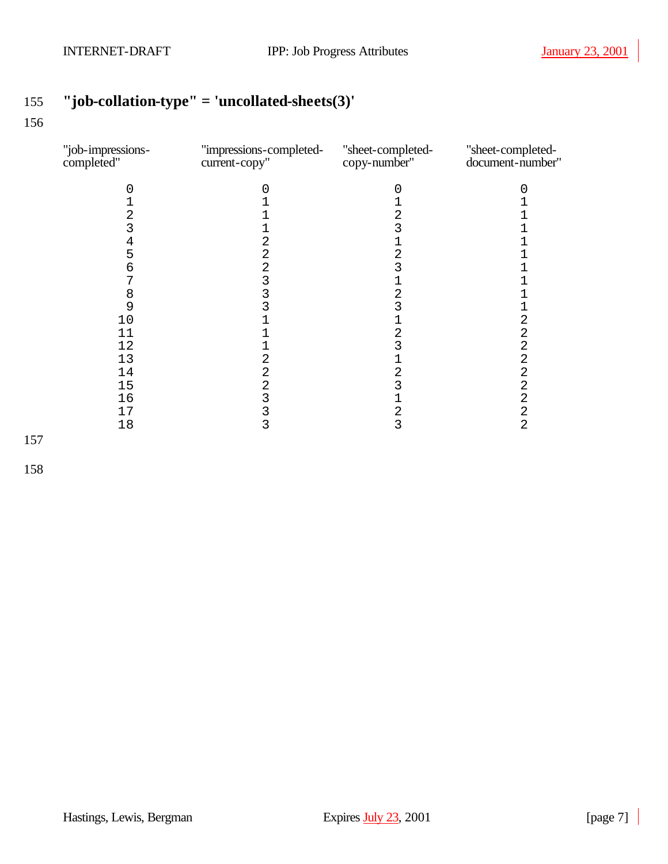## **"job-collation-type" = 'uncollated-sheets(3)'**

#### 

| "job-impressions-<br>completed" | "impressions-completed-<br>current-copy" | "sheet-completed-<br>copy-number" | "sheet-completed-<br>document-number" |
|---------------------------------|------------------------------------------|-----------------------------------|---------------------------------------|
|                                 |                                          | O                                 |                                       |
|                                 |                                          |                                   |                                       |
| 2                               |                                          | 2                                 |                                       |
| 3                               |                                          | 3                                 |                                       |
| 4                               |                                          |                                   |                                       |
| 5                               | 2                                        | 2                                 |                                       |
| 6                               | 2                                        |                                   |                                       |
|                                 | 3                                        |                                   |                                       |
| 8                               |                                          | 2                                 |                                       |
| 9                               |                                          | 3                                 |                                       |
| 10                              |                                          |                                   | 2                                     |
| 11                              |                                          | 2                                 | 2                                     |
| 12                              |                                          | 3                                 | $\overline{2}$                        |
| 13                              | 2                                        | 1                                 | 2                                     |
| 14                              | 2                                        | 2                                 | 2                                     |
| 15                              | 2                                        | 3                                 | 2                                     |
| 16                              | 3                                        | 1                                 | $\overline{2}$                        |
| 17                              |                                          | 2                                 | 2                                     |
| 18                              | 3                                        | 3                                 | $\overline{2}$                        |
|                                 |                                          |                                   |                                       |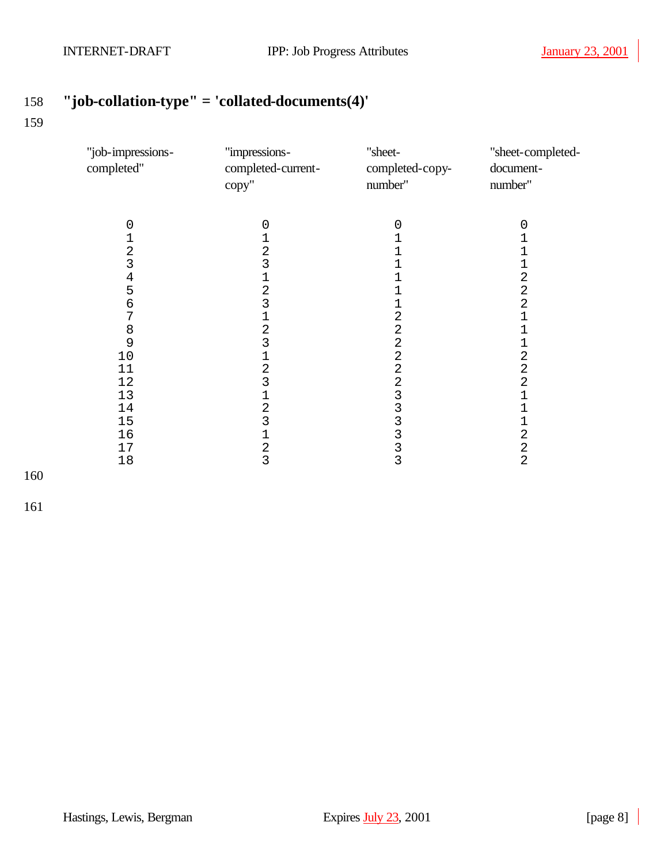## **"job-collation-type" = 'collated-documents(4)'**

| "job-impressions-<br>completed"                                                                                  | "impressions-<br>completed-current-<br>copy"                                                                                | "sheet-<br>completed-copy-<br>number"                                                 | "sheet-completed-<br>document-<br>number"                                                                                                                                                                              |
|------------------------------------------------------------------------------------------------------------------|-----------------------------------------------------------------------------------------------------------------------------|---------------------------------------------------------------------------------------|------------------------------------------------------------------------------------------------------------------------------------------------------------------------------------------------------------------------|
| $\mathbf 0$<br>123456<br>$\overline{7}$<br>$\begin{array}{c} 8 \\ 9 \end{array}$<br>$10$<br>11<br>12<br>13<br>14 | 0<br>1<br>$\overline{2}$<br>3<br>1<br>2<br>3<br>1<br>$\overline{2}$<br>3<br>1<br>$\overline{2}$<br>3<br>1<br>$\overline{c}$ | 0<br>1<br>2<br>$\overline{2}$<br>2<br>2<br>$\overline{a}$<br>$\overline{2}$<br>3<br>3 | 0<br>$\overline{1}$<br>$\mathbf{1}$<br>$\mathbf 1$<br>$\overline{a}$<br>$\overline{a}$<br>$\overline{a}$<br>$\overline{1}$<br>$\overline{1}$<br>1<br>$\frac{2}{2}$<br>$\overline{a}$<br>$\mathbf{1}$<br>$\overline{1}$ |
| 15<br>16<br>17<br>18                                                                                             | $\overline{3}$<br>$\mathbf 1$<br>$\overline{2}$<br>3                                                                        | 3<br>3<br>3<br>3                                                                      | $\mathbf 1$<br>$\overline{a}$<br>$\frac{2}{2}$                                                                                                                                                                         |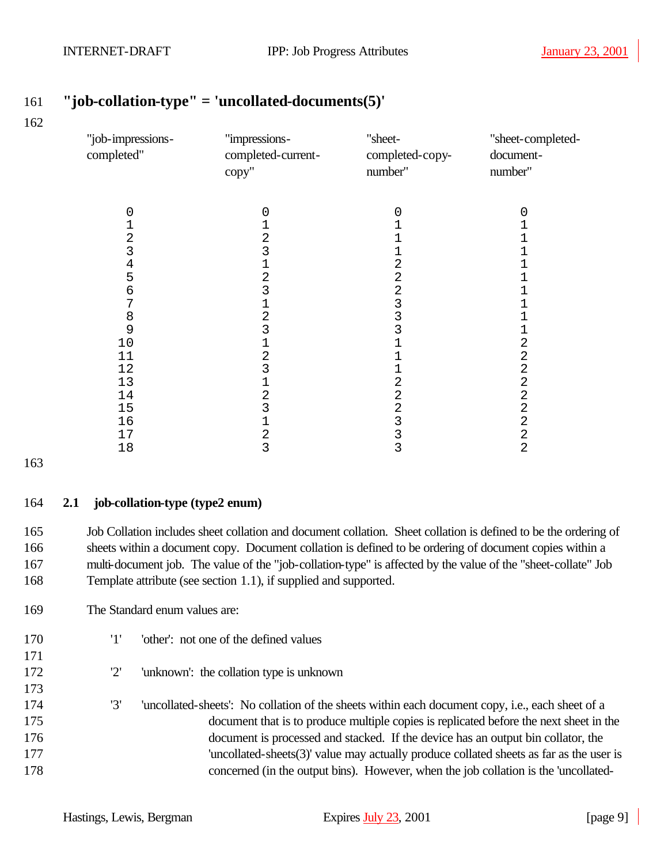| "job-impressions-<br>completed" | "impressions-<br>completed-current-<br>copy" | "sheet-<br>completed-copy-<br>number" | "sheet-completed-<br>document-<br>number" |
|---------------------------------|----------------------------------------------|---------------------------------------|-------------------------------------------|
| $\left( \right)$                | 0                                            | 0                                     | 0                                         |
|                                 |                                              |                                       |                                           |
| 2                               | 2                                            |                                       |                                           |
| 3                               | 3                                            | 1                                     |                                           |
| 4                               | $\mathbf 1$                                  | 2                                     |                                           |
| 5                               | 2                                            | 2                                     |                                           |
| 6                               | 3                                            | $\overline{a}$                        |                                           |
| 7                               | 1                                            | $\frac{3}{3}$                         |                                           |
| 8                               | 2                                            |                                       |                                           |
| 9                               | 3                                            | 3                                     |                                           |
| 10                              | $\mathbf 1$                                  |                                       | 2                                         |
| 11                              | 2                                            |                                       | 2                                         |
| 12                              | 3                                            |                                       | 2                                         |
| 13                              |                                              | 2                                     | $\overline{\mathbf{c}}$                   |
| 14                              | 2                                            | $\overline{2}$                        | $\overline{a}$                            |
| 15                              | 3                                            | 2                                     | $\overline{2}$                            |
| 16                              |                                              | 3                                     | $\overline{c}$                            |
| 17                              | $\overline{2}$                               | 3                                     | $\overline{2}$                            |
| 18                              | 3                                            | 3                                     | 2                                         |

### **"job-collation-type" = 'uncollated-documents(5)'**

#### **2.1 job-collation-type (type2 enum)**

 Job Collation includes sheet collation and document collation. Sheet collation is defined to be the ordering of sheets within a document copy. Document collation is defined to be ordering of document copies within a multi-document job. The value of the "job-collation-type" is affected by the value of the "sheet-collate" Job Template attribute (see section 1.1), if supplied and supported.

- The Standard enum values are:
- '1' 'other': not one of the defined values
- '2' 'unknown': the collation type is unknown
- '3' 'uncollated-sheets': No collation of the sheets within each document copy, i.e., each sheet of a document that is to produce multiple copies is replicated before the next sheet in the document is processed and stacked. If the device has an output bin collator, the 'uncollated-sheets(3)' value may actually produce collated sheets as far as the user is concerned (in the output bins). However, when the job collation is the 'uncollated-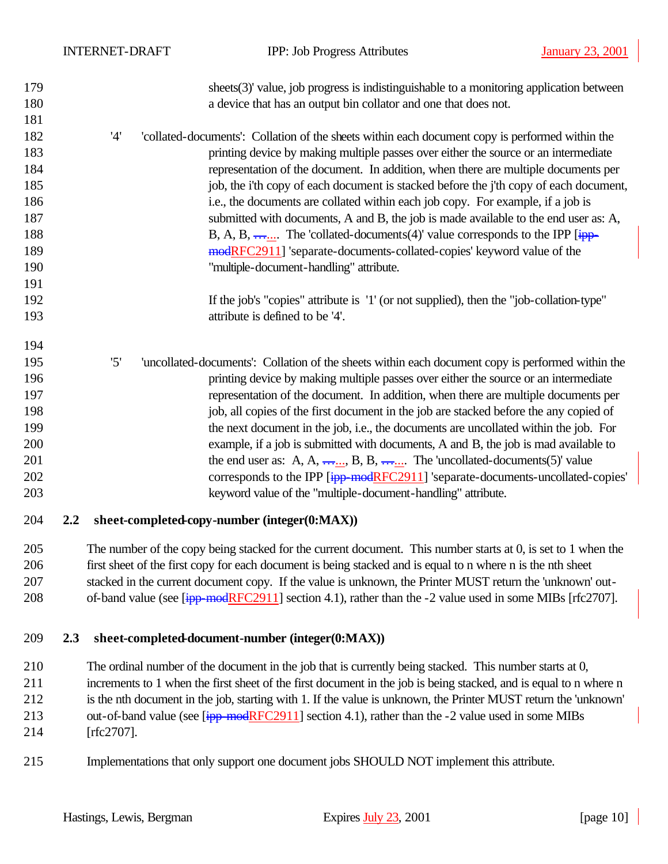| 179<br>180<br>181 |     |     | sheets(3)' value, job progress is indistinguishable to a monitoring application between<br>a device that has an output bin collator and one that does not. |
|-------------------|-----|-----|------------------------------------------------------------------------------------------------------------------------------------------------------------|
| 182               |     | '4' | 'collated-documents': Collation of the sheets within each document copy is performed within the                                                            |
| 183               |     |     | printing device by making multiple passes over either the source or an intermediate                                                                        |
| 184               |     |     | representation of the document. In addition, when there are multiple documents per                                                                         |
| 185               |     |     | job, the i'th copy of each document is stacked before the j'th copy of each document,                                                                      |
| 186               |     |     | i.e., the documents are collated within each job copy. For example, if a job is                                                                            |
| 187               |     |     | submitted with documents, A and B, the job is made available to the end user as: A,                                                                        |
| 188               |     |     | B, A, B, $\frac{1}{1+\epsilon}$ . The 'collated-documents(4)' value corresponds to the IPP [ $\frac{1}{1+\epsilon}$ ].                                     |
| 189               |     |     | modRFC2911] 'separate-documents-collated-copies' keyword value of the                                                                                      |
| 190               |     |     | "multiple-document-handling" attribute.                                                                                                                    |
| 191               |     |     |                                                                                                                                                            |
| 192               |     |     | If the job's "copies" attribute is '1' (or not supplied), then the "job-collation-type"                                                                    |
| 193               |     |     | attribute is defined to be '4'.                                                                                                                            |
|                   |     |     |                                                                                                                                                            |
| 194               |     |     |                                                                                                                                                            |
| 195               |     | '5' | 'uncollated-documents': Collation of the sheets within each document copy is performed within the                                                          |
| 196               |     |     | printing device by making multiple passes over either the source or an intermediate                                                                        |
| 197               |     |     | representation of the document. In addition, when there are multiple documents per                                                                         |
| 198               |     |     | job, all copies of the first document in the job are stacked before the any copied of                                                                      |
| 199               |     |     | the next document in the job, i.e., the documents are uncollated within the job. For                                                                       |
| 200               |     |     | example, if a job is submitted with documents, A and B, the job is mad available to                                                                        |
| 201               |     |     | the end user as: A, A, $\frac{1}{1}$ , B, B, $\frac{1}{1}$ . The 'uncollated-documents(5)' value                                                           |
| 202               |     |     | corresponds to the IPP [ipp-modRFC2911] 'separate-documents-uncollated-copies'                                                                             |
| 203               |     |     | keyword value of the "multiple-document-handling" attribute.                                                                                               |
| 204               | 2.2 |     | sheet-completed-copy-number (integer(0:MAX))                                                                                                               |
| 205               |     |     | The number of the copy being stacked for the current document. This number starts at 0, is set to 1 when the                                               |
| 206               |     |     | first sheet of the first copy for each document is being stacked and is equal to n where n is the nth sheet                                                |
| 207               |     |     | stacked in the current document copy. If the value is unknown, the Printer MUST return the 'unknown' out-                                                  |
| 208               |     |     | of-band value (see $\left[\frac{ipp \mod{RFC2911}}{p} \right]$ section 4.1), rather than the -2 value used in some MIBs [rfc2707].                         |

#### **2.3 sheet-completed-document-number (integer(0:MAX))**

 The ordinal number of the document in the job that is currently being stacked. This number starts at 0, increments to 1 when the first sheet of the first document in the job is being stacked, and is equal to n where n is the nth document in the job, starting with 1. If the value is unknown, the Printer MUST return the 'unknown' 213 out-of-band value (see [ipp-modRFC2911] section 4.1), rather than the -2 value used in some MIBs [rfc2707].

Implementations that only support one document jobs SHOULD NOT implement this attribute.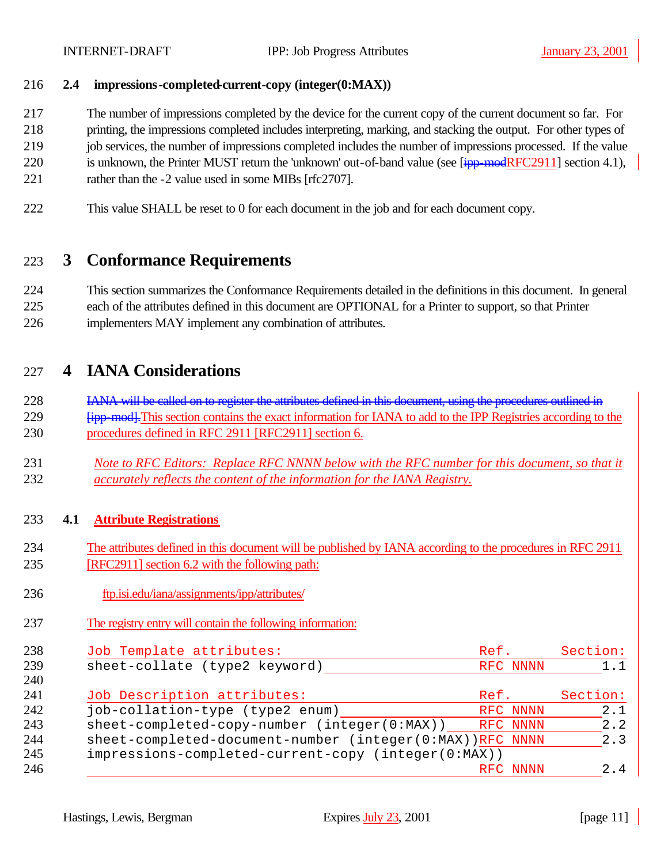#### **2.4 impressions-completed-current-copy (integer(0:MAX))**

The number of impressions completed by the device for the current copy of the current document so far. For

printing, the impressions completed includes interpreting, marking, and stacking the output. For other types of

- job services, the number of impressions completed includes the number of impressions processed. If the value
- 220 is unknown, the Printer MUST return the 'unknown' out-of-band value (see [ipp-modRFC2911] section 4.1),
- 221 rather than the -2 value used in some MIBs [rfc2707].
- This value SHALL be reset to 0 for each document in the job and for each document copy.

### **3 Conformance Requirements**

 This section summarizes the Conformance Requirements detailed in the definitions in this document. In general each of the attributes defined in this document are OPTIONAL for a Printer to support, so that Printer implementers MAY implement any combination of attributes.

### **4 IANA Considerations**

228 IANA will be called on to register the attributes defined in this document, using the procedures outlined in *Fipp-mod-*. This section contains the exact information for IANA to add to the IPP Registries according to the procedures defined in RFC 2911 [RFC2911] section 6.

 *Note to RFC Editors: Replace RFC NNNN below with the RFC number for this document, so that it accurately reflects the content of the information for the IANA Registry.*

#### **4.1 Attribute Registrations**

- The attributes defined in this document will be published by IANA according to the procedures in RFC 2911 [RFC2911] section 6.2 with the following path:
- ftp.isi.edu/iana/assignments/ipp/attributes/
- The registry entry will contain the following information:

| 238 | Job Template attributes:                                 | Ref.     | Section: |
|-----|----------------------------------------------------------|----------|----------|
| 239 | sheet-collate (type2 keyword)                            | RFC NNNN | 1.1      |
| 240 |                                                          |          |          |
| 241 | Job Description attributes:                              | Ref.     | Section: |
| 242 | job-collation-type (type2 enum)                          | RFC NNNN | 2.1      |
| 243 | sheet-completed-copy-number (integer(0:MAX)) RFC NNNN    |          | 2.2      |
| 244 | sheet-completed-document-number (integer(0:MAX))RFC NNNN |          | 2.3      |
| 245 | impressions-completed-current-copy (integer(0:MAX))      |          |          |
| 246 |                                                          | RFC NNNN | 2.4      |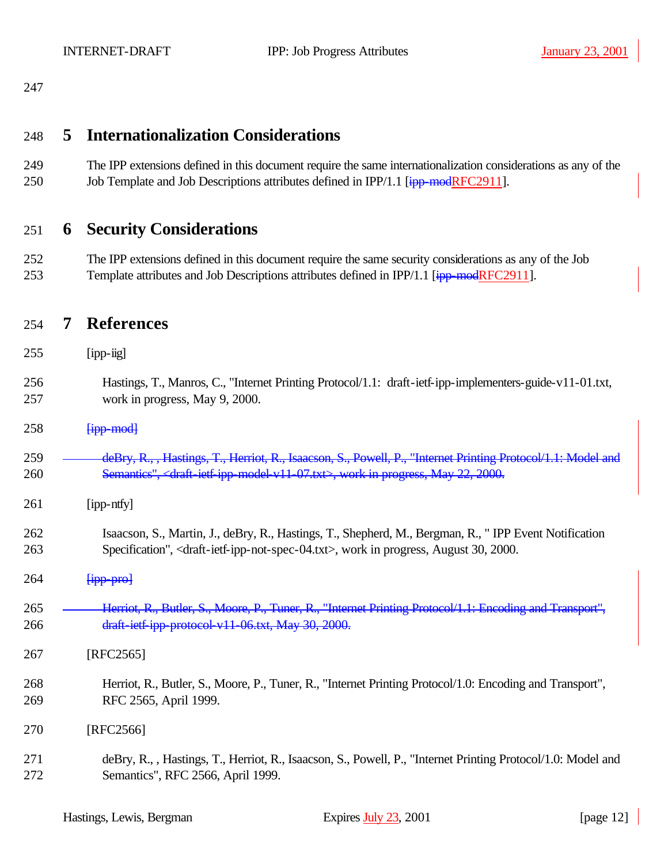### **5 Internationalization Considerations**

 The IPP extensions defined in this document require the same internationalization considerations as any of the 250 Job Template and Job Descriptions attributes defined in IPP/1.1 [ipp-modRFC2911].

### **6 Security Considerations**

 The IPP extensions defined in this document require the same security considerations as any of the Job 253 Template attributes and Job Descriptions attributes defined in IPP/1.1 [ipp-modRFC2911].

#### **7 References**

- [ipp-iig]
- Hastings, T., Manros, C., "Internet Printing Protocol/1.1: draft-ietf-ipp-implementers-guide-v11-01.txt, work in progress, May 9, 2000.
- $[*ipp-mod*]$
- **deBry, R., , Hastings, T., Herriot, R., Isaacson, S., Powell, P., "Internet Printing Protocol/1.1: Model and** 260 Semantics", <draft-ietf-ipp-model-v11-07.txt>, work in progress, May 22, 2000.
- [ipp-ntfy]
- Isaacson, S., Martin, J., deBry, R., Hastings, T., Shepherd, M., Bergman, R., " IPP Event Notification Specification", <draft-ietf-ipp-not-spec-04.txt>, work in progress, August 30, 2000.
- $\frac{[ipp-pro]}{[ipq]}$
- **Herriot, R., Butler, S., Moore, P., Tuner, R., "Internet Printing Protocol/1.1: Encoding and Transport",** draft-ietf-ipp-protocol-v11-06.txt, May 30, 2000.
- [RFC2565]
- Herriot, R., Butler, S., Moore, P., Tuner, R., "Internet Printing Protocol/1.0: Encoding and Transport", RFC 2565, April 1999.
- [RFC2566]
- deBry, R., , Hastings, T., Herriot, R., Isaacson, S., Powell, P., "Internet Printing Protocol/1.0: Model and Semantics", RFC 2566, April 1999.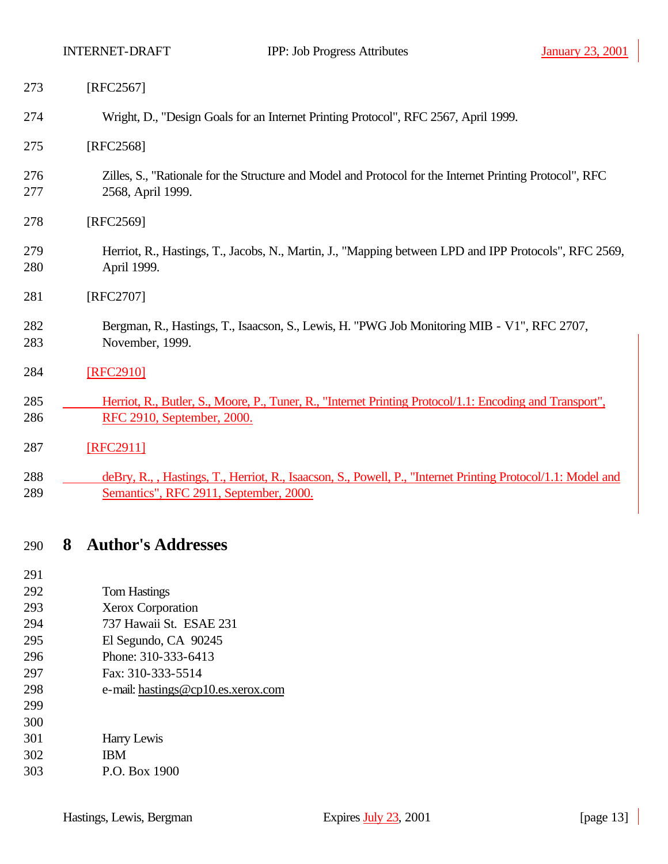| 273        | [RFC2567]                                                                                                                     |
|------------|-------------------------------------------------------------------------------------------------------------------------------|
| 274        | Wright, D., "Design Goals for an Internet Printing Protocol", RFC 2567, April 1999.                                           |
| 275        | [RFC2568]                                                                                                                     |
| 276<br>277 | Zilles, S., "Rationale for the Structure and Model and Protocol for the Internet Printing Protocol", RFC<br>2568, April 1999. |
| 278        | [RFC2569]                                                                                                                     |
| 279<br>280 | Herriot, R., Hastings, T., Jacobs, N., Martin, J., "Mapping between LPD and IPP Protocols", RFC 2569,<br>April 1999.          |
| 281        | [RFC2707]                                                                                                                     |
| 282<br>283 | Bergman, R., Hastings, T., Isaacson, S., Lewis, H. "PWG Job Monitoring MIB - V1", RFC 2707,<br>November, 1999.                |
| 284        | [RFC2910]                                                                                                                     |
| 285        | Herriot, R., Butler, S., Moore, P., Tuner, R., "Internet Printing Protocol/1.1: Encoding and Transport",                      |
| 286        | RFC 2910, September, 2000.                                                                                                    |
| 287        | [RFC2911]                                                                                                                     |
| 288        | deBry, R., , Hastings, T., Herriot, R., Isaacson, S., Powell, P., "Internet Printing Protocol/1.1: Model and                  |
| 289        | Semantics", RFC 2911, September, 2000.                                                                                        |

## **8 Author's Addresses**

| 291 |                                    |
|-----|------------------------------------|
| 292 | Tom Hastings                       |
| 293 | <b>Xerox Corporation</b>           |
| 294 | 737 Hawaii St. ESAE 231            |
| 295 | El Segundo, CA 90245               |
| 296 | Phone: 310-333-6413                |
| 297 | Fax: 310-333-5514                  |
| 298 | e-mail: hastings@cp10.es.xerox.com |
| 299 |                                    |
| 300 |                                    |
| 301 | Harry Lewis                        |
| 302 | <b>IBM</b>                         |
| 303 | P.O. Box 1900                      |
|     |                                    |